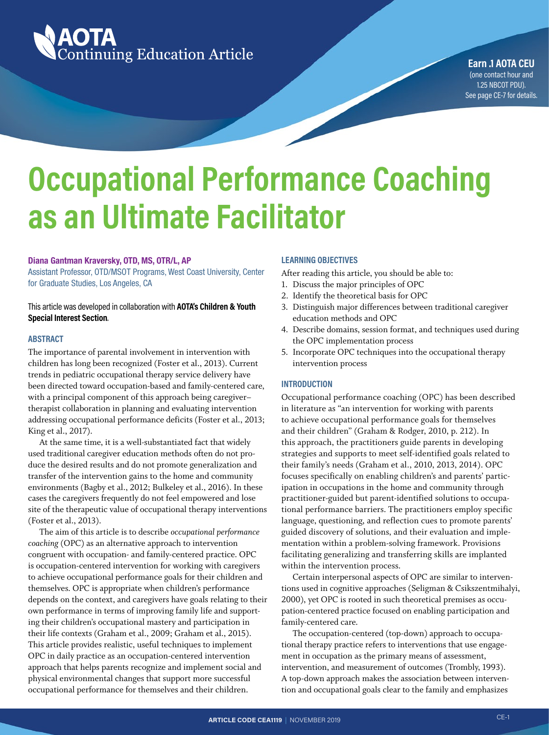

**Earn .1 AOTA CEU** (one contact hour and 1.25 NBCOT PDU). See page CE-7 for details.

# **Occupational Performance Coaching as an Ultimate Facilitator**

### **Diana Gantman Kraversky, OTD, MS, OTR/L, AP**

Assistant Professor, OTD/MSOT Programs, West Coast University, Center for Graduate Studies, Los Angeles, CA

# This article was developed in collaboration with **AOTA's Children & Youth Special Interest Section**.

#### **ABSTRACT**

The importance of parental involvement in intervention with children has long been recognized (Foster et al., 2013). Current trends in pediatric occupational therapy service delivery have been directed toward occupation-based and family-centered care, with a principal component of this approach being caregiver– therapist collaboration in planning and evaluating intervention addressing occupational performance deficits (Foster et al., 2013; King et al., 2017).

At the same time, it is a well-substantiated fact that widely used traditional caregiver education methods often do not produce the desired results and do not promote generalization and transfer of the intervention gains to the home and community environments (Bagby et al., 2012; Bulkeley et al., 2016). In these cases the caregivers frequently do not feel empowered and lose site of the therapeutic value of occupational therapy interventions (Foster et al., 2013).

The aim of this article is to describe *occupational performance coaching* (OPC) as an alternative approach to intervention congruent with occupation- and family-centered practice. OPC is occupation-centered intervention for working with caregivers to achieve occupational performance goals for their children and themselves. OPC is appropriate when children's performance depends on the context, and caregivers have goals relating to their own performance in terms of improving family life and supporting their children's occupational mastery and participation in their life contexts (Graham et al., 2009; Graham et al., 2015). This article provides realistic, useful techniques to implement OPC in daily practice as an occupation-centered intervention approach that helps parents recognize and implement social and physical environmental changes that support more successful occupational performance for themselves and their children.

### **LEARNING OBJECTIVES**

After reading this article, you should be able to:

- 1. Discuss the major principles of OPC
- 2. Identify the theoretical basis for OPC
- 3. Distinguish major differences between traditional caregiver education methods and OPC
- 4. Describe domains, session format, and techniques used during the OPC implementation process
- 5. Incorporate OPC techniques into the occupational therapy intervention process

#### **INTRODUCTION**

Occupational performance coaching (OPC) has been described in literature as "an intervention for working with parents to achieve occupational performance goals for themselves and their children" (Graham & Rodger, 2010, p. 212). In this approach, the practitioners guide parents in developing strategies and supports to meet self-identified goals related to their family's needs (Graham et al., 2010, 2013, 2014). OPC focuses specifically on enabling children's and parents' participation in occupations in the home and community through practitioner-guided but parent-identified solutions to occupational performance barriers. The practitioners employ specific language, questioning, and reflection cues to promote parents' guided discovery of solutions, and their evaluation and implementation within a problem-solving framework. Provisions facilitating generalizing and transferring skills are implanted within the intervention process.

Certain interpersonal aspects of OPC are similar to interventions used in cognitive approaches (Seligman & Csikszentmihalyi, 2000), yet OPC is rooted in such theoretical premises as occupation-centered practice focused on enabling participation and family-centered care.

The occupation-centered (top-down) approach to occupational therapy practice refers to interventions that use engagement in occupation as the primary means of assessment, intervention, and measurement of outcomes (Trombly, 1993). A top-down approach makes the association between intervention and occupational goals clear to the family and emphasizes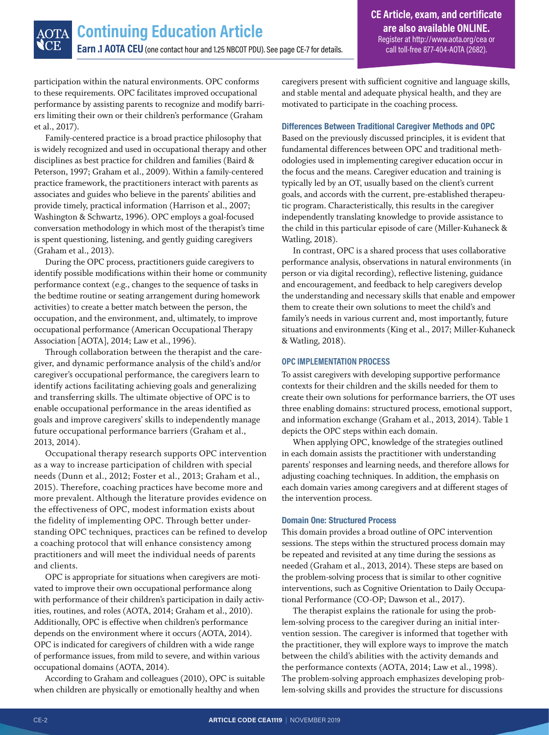participation within the natural environments. OPC conforms to these requirements. OPC facilitates improved occupational performance by assisting parents to recognize and modify barriers limiting their own or their children's performance (Graham et al., 2017).

Family-centered practice is a broad practice philosophy that is widely recognized and used in occupational therapy and other disciplines as best practice for children and families (Baird & Peterson, 1997; Graham et al., 2009). Within a family-centered practice framework, the practitioners interact with parents as associates and guides who believe in the parents' abilities and provide timely, practical information (Harrison et al., 2007; Washington & Schwartz, 1996). OPC employs a goal-focused conversation methodology in which most of the therapist's time is spent questioning, listening, and gently guiding caregivers (Graham et al., 2013).

During the OPC process, practitioners guide caregivers to identify possible modifications within their home or community performance context (e.g., changes to the sequence of tasks in the bedtime routine or seating arrangement during homework activities) to create a better match between the person, the occupation, and the environment, and, ultimately, to improve occupational performance (American Occupational Therapy Association [AOTA], 2014; Law et al., 1996).

Through collaboration between the therapist and the caregiver, and dynamic performance analysis of the child's and/or caregiver's occupational performance, the caregivers learn to identify actions facilitating achieving goals and generalizing and transferring skills. The ultimate objective of OPC is to enable occupational performance in the areas identified as goals and improve caregivers' skills to independently manage future occupational performance barriers (Graham et al., 2013, 2014).

Occupational therapy research supports OPC intervention as a way to increase participation of children with special needs (Dunn et al., 2012; Foster et al., 2013; Graham et al., 2015). Therefore, coaching practices have become more and more prevalent. Although the literature provides evidence on the effectiveness of OPC, modest information exists about the fidelity of implementing OPC. Through better understanding OPC techniques, practices can be refined to develop a coaching protocol that will enhance consistency among practitioners and will meet the individual needs of parents and clients.

OPC is appropriate for situations when caregivers are motivated to improve their own occupational performance along with performance of their children's participation in daily activities, routines, and roles (AOTA, 2014; Graham et al., 2010). Additionally, OPC is effective when children's performance depends on the environment where it occurs (AOTA, 2014). OPC is indicated for caregivers of children with a wide range of performance issues, from mild to severe, and within various occupational domains (AOTA, 2014).

According to Graham and colleagues (2010), OPC is suitable when children are physically or emotionally healthy and when

caregivers present with sufficient cognitive and language skills, and stable mental and adequate physical health, and they are motivated to participate in the coaching process.

# **Differences Between Traditional Caregiver Methods and OPC**

Based on the previously discussed principles, it is evident that fundamental differences between OPC and traditional methodologies used in implementing caregiver education occur in the focus and the means. Caregiver education and training is typically led by an OT, usually based on the client's current goals, and accords with the current, pre-established therapeutic program. Characteristically, this results in the caregiver independently translating knowledge to provide assistance to the child in this particular episode of care (Miller-Kuhaneck & Watling, 2018).

In contrast, OPC is a shared process that uses collaborative performance analysis, observations in natural environments (in person or via digital recording), reflective listening, guidance and encouragement, and feedback to help caregivers develop the understanding and necessary skills that enable and empower them to create their own solutions to meet the child's and family's needs in various current and, most importantly, future situations and environments (King et al., 2017; Miller-Kuhaneck & Watling, 2018).

# **OPC IMPLEMENTATION PROCESS**

To assist caregivers with developing supportive performance contexts for their children and the skills needed for them to create their own solutions for performance barriers, the OT uses three enabling domains: structured process, emotional support, and information exchange (Graham et al., 2013, 2014). Table 1 depicts the OPC steps within each domain.

When applying OPC, knowledge of the strategies outlined in each domain assists the practitioner with understanding parents' responses and learning needs, and therefore allows for adjusting coaching techniques. In addition, the emphasis on each domain varies among caregivers and at different stages of the intervention process.

# **Domain One: Structured Process**

This domain provides a broad outline of OPC intervention sessions. The steps within the structured process domain may be repeated and revisited at any time during the sessions as needed (Graham et al., 2013, 2014). These steps are based on the problem-solving process that is similar to other cognitive interventions, such as Cognitive Orientation to Daily Occupational Performance (CO-OP; Dawson et al., 2017).

The therapist explains the rationale for using the problem-solving process to the caregiver during an initial intervention session. The caregiver is informed that together with the practitioner, they will explore ways to improve the match between the child's abilities with the activity demands and the performance contexts (AOTA, 2014; Law et al., 1998). The problem-solving approach emphasizes developing problem-solving skills and provides the structure for discussions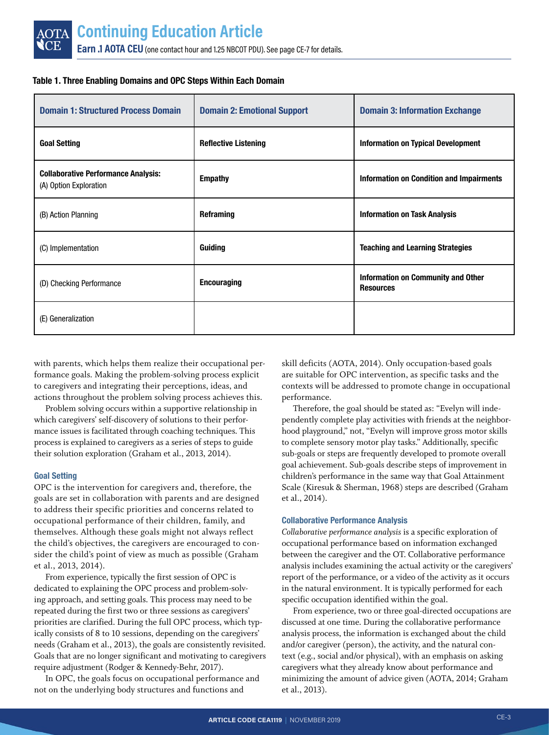| <b>Domain 1: Structured Process Domain</b>                           | <b>Domain 2: Emotional Support</b> | <b>Domain 3: Information Exchange</b>                  |
|----------------------------------------------------------------------|------------------------------------|--------------------------------------------------------|
| <b>Goal Setting</b>                                                  | <b>Reflective Listening</b>        | <b>Information on Typical Development</b>              |
| <b>Collaborative Performance Analysis:</b><br>(A) Option Exploration | <b>Empathy</b>                     | <b>Information on Condition and Impairments</b>        |
| (B) Action Planning                                                  | <b>Reframing</b>                   | <b>Information on Task Analysis</b>                    |
| (C) Implementation                                                   | Guiding                            | <b>Teaching and Learning Strategies</b>                |
| (D) Checking Performance                                             | <b>Encouraging</b>                 | Information on Community and Other<br><b>Resources</b> |
| (E) Generalization                                                   |                                    |                                                        |

# **Table 1. Three Enabling Domains and OPC Steps Within Each Domain**

with parents, which helps them realize their occupational performance goals. Making the problem-solving process explicit to caregivers and integrating their perceptions, ideas, and actions throughout the problem solving process achieves this.

Problem solving occurs within a supportive relationship in which caregivers' self-discovery of solutions to their performance issues is facilitated through coaching techniques. This process is explained to caregivers as a series of steps to guide their solution exploration (Graham et al., 2013, 2014).

# **Goal Setting**

OPC is the intervention for caregivers and, therefore, the goals are set in collaboration with parents and are designed to address their specific priorities and concerns related to occupational performance of their children, family, and themselves. Although these goals might not always reflect the child's objectives, the caregivers are encouraged to consider the child's point of view as much as possible (Graham et al., 2013, 2014).

From experience, typically the first session of OPC is dedicated to explaining the OPC process and problem-solving approach, and setting goals. This process may need to be repeated during the first two or three sessions as caregivers' priorities are clarified. During the full OPC process, which typically consists of 8 to 10 sessions, depending on the caregivers' needs (Graham et al., 2013), the goals are consistently revisited. Goals that are no longer significant and motivating to caregivers require adjustment (Rodger & Kennedy-Behr, 2017).

In OPC, the goals focus on occupational performance and not on the underlying body structures and functions and

skill deficits (AOTA, 2014). Only occupation-based goals are suitable for OPC intervention, as specific tasks and the contexts will be addressed to promote change in occupational performance.

Therefore, the goal should be stated as: "Evelyn will independently complete play activities with friends at the neighborhood playground," not, "Evelyn will improve gross motor skills to complete sensory motor play tasks." Additionally, specific sub-goals or steps are frequently developed to promote overall goal achievement. Sub-goals describe steps of improvement in children's performance in the same way that Goal Attainment Scale (Kiresuk & Sherman, 1968) steps are described (Graham et al., 2014).

# **Collaborative Performance Analysis**

*Collaborative performance analysis* is a specific exploration of occupational performance based on information exchanged between the caregiver and the OT. Collaborative performance analysis includes examining the actual activity or the caregivers' report of the performance, or a video of the activity as it occurs in the natural environment. It is typically performed for each specific occupation identified within the goal.

From experience, two or three goal-directed occupations are discussed at one time. During the collaborative performance analysis process, the information is exchanged about the child and/or caregiver (person), the activity, and the natural context (e.g., social and/or physical), with an emphasis on asking caregivers what they already know about performance and minimizing the amount of advice given (AOTA, 2014; Graham et al., 2013).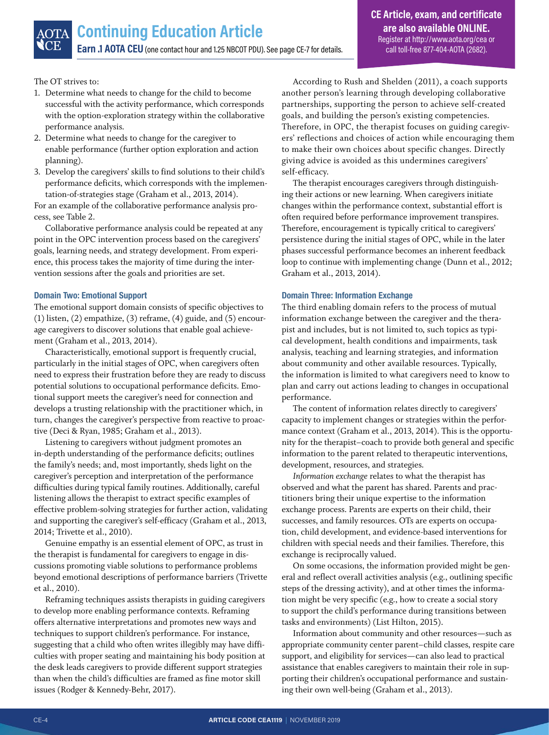The OT strives to:

- 1. Determine what needs to change for the child to become successful with the activity performance, which corresponds with the option-exploration strategy within the collaborative performance analysis.
- 2. Determine what needs to change for the caregiver to enable performance (further option exploration and action planning).
- 3. Develop the caregivers' skills to find solutions to their child's performance deficits, which corresponds with the implementation-of-strategies stage (Graham et al., 2013, 2014).

For an example of the collaborative performance analysis process, see Table 2.

Collaborative performance analysis could be repeated at any point in the OPC intervention process based on the caregivers' goals, learning needs, and strategy development. From experience, this process takes the majority of time during the intervention sessions after the goals and priorities are set.

# **Domain Two: Emotional Support**

The emotional support domain consists of specific objectives to (1) listen, (2) empathize, (3) reframe, (4) guide, and (5) encourage caregivers to discover solutions that enable goal achievement (Graham et al., 2013, 2014).

Characteristically, emotional support is frequently crucial, particularly in the initial stages of OPC, when caregivers often need to express their frustration before they are ready to discuss potential solutions to occupational performance deficits. Emotional support meets the caregiver's need for connection and develops a trusting relationship with the practitioner which, in turn, changes the caregiver's perspective from reactive to proactive (Deci & Ryan, 1985; Graham et al., 2013).

Listening to caregivers without judgment promotes an in-depth understanding of the performance deficits; outlines the family's needs; and, most importantly, sheds light on the caregiver's perception and interpretation of the performance difficulties during typical family routines. Additionally, careful listening allows the therapist to extract specific examples of effective problem-solving strategies for further action, validating and supporting the caregiver's self-efficacy (Graham et al., 2013, 2014; Trivette et al., 2010).

Genuine empathy is an essential element of OPC, as trust in the therapist is fundamental for caregivers to engage in discussions promoting viable solutions to performance problems beyond emotional descriptions of performance barriers (Trivette et al., 2010).

Reframing techniques assists therapists in guiding caregivers to develop more enabling performance contexts. Reframing offers alternative interpretations and promotes new ways and techniques to support children's performance. For instance, suggesting that a child who often writes illegibly may have difficulties with proper seating and maintaining his body position at the desk leads caregivers to provide different support strategies than when the child's difficulties are framed as fine motor skill issues (Rodger & Kennedy-Behr, 2017).

According to Rush and Shelden (2011), a coach supports another person's learning through developing collaborative partnerships, supporting the person to achieve self-created goals, and building the person's existing competencies. Therefore, in OPC, the therapist focuses on guiding caregivers' reflections and choices of action while encouraging them to make their own choices about specific changes. Directly giving advice is avoided as this undermines caregivers' self-efficacy.

The therapist encourages caregivers through distinguishing their actions or new learning. When caregivers initiate changes within the performance context, substantial effort is often required before performance improvement transpires. Therefore, encouragement is typically critical to caregivers' persistence during the initial stages of OPC, while in the later phases successful performance becomes an inherent feedback loop to continue with implementing change (Dunn et al., 2012; Graham et al., 2013, 2014).

# **Domain Three: Information Exchange**

The third enabling domain refers to the process of mutual information exchange between the caregiver and the therapist and includes, but is not limited to, such topics as typical development, health conditions and impairments, task analysis, teaching and learning strategies, and information about community and other available resources. Typically, the information is limited to what caregivers need to know to plan and carry out actions leading to changes in occupational performance.

The content of information relates directly to caregivers' capacity to implement changes or strategies within the performance context (Graham et al., 2013, 2014). This is the opportunity for the therapist–coach to provide both general and specific information to the parent related to therapeutic interventions, development, resources, and strategies.

*Information exchange* relates to what the therapist has observed and what the parent has shared. Parents and practitioners bring their unique expertise to the information exchange process. Parents are experts on their child, their successes, and family resources. OTs are experts on occupation, child development, and evidence-based interventions for children with special needs and their families. Therefore, this exchange is reciprocally valued.

On some occasions, the information provided might be general and reflect overall activities analysis (e.g., outlining specific steps of the dressing activity), and at other times the information might be very specific (e.g., how to create a social story to support the child's performance during transitions between tasks and environments) (List Hilton, 2015).

Information about community and other resources—such as appropriate community center parent–child classes, respite care support, and eligibility for services—can also lead to practical assistance that enables caregivers to maintain their role in supporting their children's occupational performance and sustaining their own well-being (Graham et al., 2013).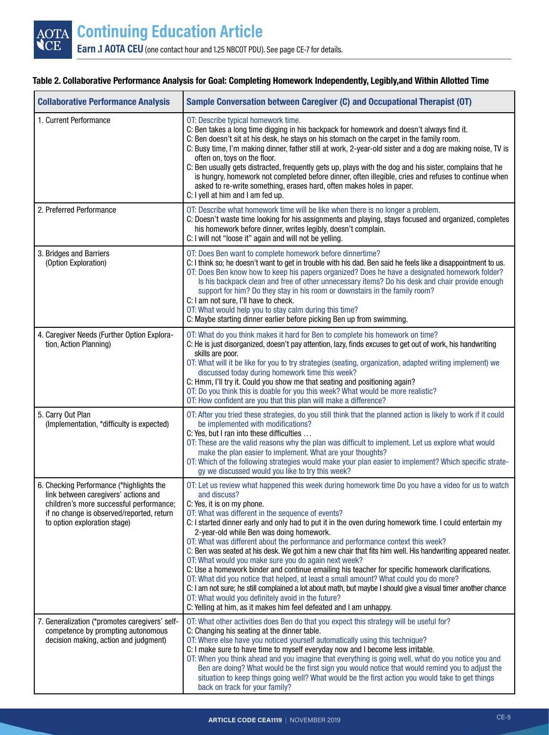# **Table 2. Collaborative Performance Analysis for Goal: Completing Homework Independently, Legibly,and Within Allotted Time**

| <b>Collaborative Performance Analysis</b>                                                                                                                                                                | Sample Conversation between Caregiver (C) and Occupational Therapist (OT)                                                                                                                                                                                                                                                                                                                                                                                                                                                                                                                                                                                                                                                                                                                                                                                                                                                                                                                                                                                       |  |
|----------------------------------------------------------------------------------------------------------------------------------------------------------------------------------------------------------|-----------------------------------------------------------------------------------------------------------------------------------------------------------------------------------------------------------------------------------------------------------------------------------------------------------------------------------------------------------------------------------------------------------------------------------------------------------------------------------------------------------------------------------------------------------------------------------------------------------------------------------------------------------------------------------------------------------------------------------------------------------------------------------------------------------------------------------------------------------------------------------------------------------------------------------------------------------------------------------------------------------------------------------------------------------------|--|
| 1. Current Performance                                                                                                                                                                                   | OT: Describe typical homework time.<br>C: Ben takes a long time digging in his backpack for homework and doesn't always find it.<br>C: Ben doesn't sit at his desk, he stays on his stomach on the carpet in the family room.<br>C: Busy time, I'm making dinner, father still at work, 2-year-old sister and a dog are making noise, TV is<br>often on, toys on the floor.<br>C: Ben usually gets distracted, frequently gets up, plays with the dog and his sister, complains that he<br>is hungry, homework not completed before dinner, often illegible, cries and refuses to continue when<br>asked to re-write something, erases hard, often makes holes in paper.<br>C: I yell at him and I am fed up.                                                                                                                                                                                                                                                                                                                                                   |  |
| 2. Preferred Performance                                                                                                                                                                                 | OT: Describe what homework time will be like when there is no longer a problem.<br>C: Doesn't waste time looking for his assignments and playing, stays focused and organized, completes<br>his homework before dinner, writes legibly, doesn't complain.<br>C: I will not "loose it" again and will not be yelling.                                                                                                                                                                                                                                                                                                                                                                                                                                                                                                                                                                                                                                                                                                                                            |  |
| 3. Bridges and Barriers<br>(Option Exploration)                                                                                                                                                          | OT: Does Ben want to complete homework before dinnertime?<br>C: I think so; he doesn't want to get in trouble with his dad. Ben said he feels like a disappointment to us.<br>OT: Does Ben know how to keep his papers organized? Does he have a designated homework folder?<br>Is his backpack clean and free of other unnecessary items? Do his desk and chair provide enough<br>support for him? Do they stay in his room or downstairs in the family room?<br>C: I am not sure, I'll have to check.<br>OT: What would help you to stay calm during this time?<br>C: Maybe starting dinner earlier before picking Ben up from swimming.                                                                                                                                                                                                                                                                                                                                                                                                                      |  |
| 4. Caregiver Needs (Further Option Explora-<br>tion, Action Planning)                                                                                                                                    | OT: What do you think makes it hard for Ben to complete his homework on time?<br>C: He is just disorganized, doesn't pay attention, lazy, finds excuses to get out of work, his handwriting<br>skills are poor.<br>OT: What will it be like for you to try strategies (seating, organization, adapted writing implement) we<br>discussed today during homework time this week?<br>C: Hmm, I'll try it. Could you show me that seating and positioning again?<br>OT: Do you think this is doable for you this week? What would be more realistic?<br>OT: How confident are you that this plan will make a difference?                                                                                                                                                                                                                                                                                                                                                                                                                                            |  |
| 5. Carry Out Plan<br>(Implementation, *difficulty is expected)                                                                                                                                           | OT: After you tried these strategies, do you still think that the planned action is likely to work if it could<br>be implemented with modifications?<br>C: Yes, but I ran into these difficulties<br>OT: These are the valid reasons why the plan was difficult to implement. Let us explore what would<br>make the plan easier to implement. What are your thoughts?<br>OT: Which of the following strategies would make your plan easier to implement? Which specific strate-<br>gy we discussed would you like to try this week?                                                                                                                                                                                                                                                                                                                                                                                                                                                                                                                             |  |
| 6. Checking Performance (*highlights the<br>link between caregivers' actions and<br>children's more successful performance;<br>if no change is observed/reported, return<br>to option exploration stage) | OT: Let us review what happened this week during homework time Do you have a video for us to watch<br>and discuss?<br>C: Yes, it is on my phone.<br>OT: What was different in the sequence of events?<br>C: I started dinner early and only had to put it in the oven during homework time. I could entertain my<br>2-year-old while Ben was doing homework.<br>OT: What was different about the performance and performance context this week?<br>C: Ben was seated at his desk. We got him a new chair that fits him well. His handwriting appeared neater.<br>OT: What would you make sure you do again next week?<br>C: Use a homework binder and continue emailing his teacher for specific homework clarifications.<br>OT: What did you notice that helped, at least a small amount? What could you do more?<br>C: I am not sure; he still complained a lot about math, but maybe I should give a visual timer another chance<br>OT: What would you definitely avoid in the future?<br>C: Yelling at him, as it makes him feel defeated and I am unhappy. |  |
| 7. Generalization (*promotes caregivers' self-<br>competence by prompting autonomous<br>decision making, action and judgment)                                                                            | OT: What other activities does Ben do that you expect this strategy will be useful for?<br>C: Changing his seating at the dinner table.<br>OT: Where else have you noticed yourself automatically using this technique?<br>C: I make sure to have time to myself everyday now and I become less irritable.<br>OT: When you think ahead and you imagine that everything is going well, what do you notice you and<br>Ben are doing? What would be the first sign you would notice that would remind you to adjust the<br>situation to keep things going well? What would be the first action you would take to get things<br>back on track for your family?                                                                                                                                                                                                                                                                                                                                                                                                      |  |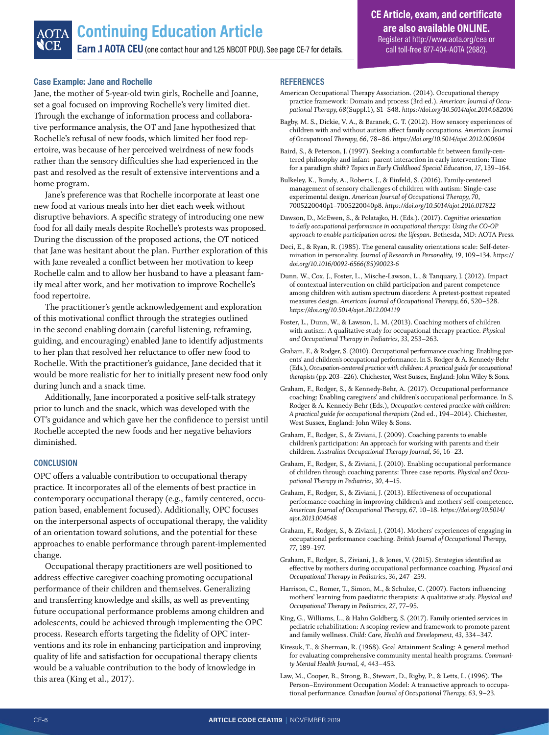### **Case Example: Jane and Rochelle**

Jane, the mother of 5-year-old twin girls, Rochelle and Joanne, set a goal focused on improving Rochelle's very limited diet. Through the exchange of information process and collaborative performance analysis, the OT and Jane hypothesized that Rochelle's refusal of new foods, which limited her food repertoire, was because of her perceived weirdness of new foods rather than the sensory difficulties she had experienced in the past and resolved as the result of extensive interventions and a home program.

Jane's preference was that Rochelle incorporate at least one new food at various meals into her diet each week without disruptive behaviors. A specific strategy of introducing one new food for all daily meals despite Rochelle's protests was proposed. During the discussion of the proposed actions, the OT noticed that Jane was hesitant about the plan. Further exploration of this with Jane revealed a conflict between her motivation to keep Rochelle calm and to allow her husband to have a pleasant family meal after work, and her motivation to improve Rochelle's food repertoire.

The practitioner's gentle acknowledgement and exploration of this motivational conflict through the strategies outlined in the second enabling domain (careful listening, reframing, guiding, and encouraging) enabled Jane to identify adjustments to her plan that resolved her reluctance to offer new food to Rochelle. With the practitioner's guidance, Jane decided that it would be more realistic for her to initially present new food only during lunch and a snack time.

Additionally, Jane incorporated a positive self-talk strategy prior to lunch and the snack, which was developed with the OT's guidance and which gave her the confidence to persist until Rochelle accepted the new foods and her negative behaviors diminished.

#### **CONCLUSION**

OPC offers a valuable contribution to occupational therapy practice. It incorporates all of the elements of best practice in contemporary occupational therapy (e.g., family centered, occupation based, enablement focused). Additionally, OPC focuses on the interpersonal aspects of occupational therapy, the validity of an orientation toward solutions, and the potential for these approaches to enable performance through parent-implemented change.

Occupational therapy practitioners are well positioned to address effective caregiver coaching promoting occupational performance of their children and themselves. Generalizing and transferring knowledge and skills, as well as preventing future occupational performance problems among children and adolescents, could be achieved through implementing the OPC process. Research efforts targeting the fidelity of OPC interventions and its role in enhancing participation and improving quality of life and satisfaction for occupational therapy clients would be a valuable contribution to the body of knowledge in this area (King et al., 2017).

#### **REFERENCES**

- American Occupational Therapy Association. (2014). Occupational therapy practice framework: Domain and process (3rd ed.). *American Journal of Occupational Therapy, 68*(Suppl.1), S1–S48. *<https://doi.org/10.5014/ajot.2014.682006>*
- Bagby, M. S., Dickie, V. A., & Baranek, G. T. (2012). How sensory experiences of children with and without autism affect family occupations. *American Journal of Occupational Therapy, 66*, 78–86. *<https://doi.org/10.5014/ajot.2012.000604>*
- Baird, S., & Peterson, J. (1997). Seeking a comfortable fit between family-centered philosophy and infant–parent interaction in early intervention: Time for a paradigm shift? *Topics in Early Childhood Special Education, 17*, 139–164.
- Bulkeley, K., Bundy, A., Roberts, J., & Einfeld, S. (2016). Family-centered management of sensory challenges of children with autism: Single-case experimental design. *American Journal of Occupational Therapy, 70*, 7005220040p1–7005220040p8. *<https://doi.org/10.5014/ajot.2016.017822>*
- Dawson, D., McEwen, S., & Polatajko, H. (Eds.). (2017). *Cognitive orientation to daily occupational performance in occupational therapy: Using the CO-OP approach to enable participation across the lifespan*. Bethesda, MD: AOTA Press.
- Deci, E., & Ryan, R. (1985). The general causality orientations scale: Self-determination in personality. *Journal of Research in Personality, 19*, 109–134. *[https://](https://doi.org/10.1016/0092-6566(85)90023-6) [doi.org/10.1016/0092-6566\(85\)90023-6](https://doi.org/10.1016/0092-6566(85)90023-6)*
- Dunn, W., Cox, J., Foster, L., Mische-Lawson, L., & Tanquary, J. (2012). Impact of contextual intervention on child participation and parent competence among children with autism spectrum disorders: A pretest-posttest repeated measures design. *American Journal of Occupational Therapy, 66*, 520–528. *<https://doi.org/10.5014/ajot.2012.004119>*
- Foster, L., Dunn, W., & Lawson, L. M. (2013). Coaching mothers of children with autism: A qualitative study for occupational therapy practice. *Physical and Occupational Therapy in Pediatrics, 33*, 253–263.
- Graham, F., & Rodger, S. (2010). Occupational performance coaching: Enabling parents' and children's occupational performance. In S. Rodger & A. Kennedy-Behr (Eds.), *Occupation-centered practice with children: A practical guide for occupational therapists* (pp. 203–226). Chichester, West Sussex, England: John Wiley & Sons.
- Graham, F., Rodger, S., & Kennedy-Behr, A. (2017). Occupational performance coaching: Enabling caregivers' and children's occupational performance. In S. Rodger & A. Kennedy-Behr (Eds.), *Occupation-centered practice with children: A practical guide for occupational therapists* (2nd ed., 194–2014). Chichester, West Sussex, England: John Wiley & Sons.
- Graham, F., Rodger, S., & Ziviani, J. (2009). Coaching parents to enable children's participation: An approach for working with parents and their children. *Australian Occupational Therapy Journal, 56*, 16–23.
- Graham, F., Rodger, S., & Ziviani, J. (2010). Enabling occupational performance of children through coaching parents: Three case reports. *Physical and Occupational Therapy in Pediatrics, 30*, 4–15.
- Graham, F., Rodger, S., & Ziviani, J. (2013). Effectiveness of occupational performance coaching in improving children's and mothers' self-competence. *American Journal of Occupational Therapy, 67*, 10–18. *[https://doi.org/10.5014/](https://doi.org/10.5014/ajot.2013.004648) [ajot.2013.004648](https://doi.org/10.5014/ajot.2013.004648)*
- Graham, F., Rodger, S., & Ziviani, J. (2014). Mothers' experiences of engaging in occupational performance coaching. *British Journal of Occupational Therapy, 77*, 189–197.
- Graham, F., Rodger, S., Ziviani, J., & Jones, V. (2015). Strategies identified as effective by mothers during occupational performance coaching. *Physical and Occupational Therapy in Pediatrics, 36*, 247–259.
- Harrison, C., Romer, T., Simon, M., & Schulze, C. (2007). Factors influencing mothers' learning from paediatric therapists: A qualitative study. *Physical and Occupational Therapy in Pediatrics, 27*, 77–95.
- King, G., Williams, L., & Hahn Goldberg, S. (2017). Family oriented services in pediatric rehabilitation: A scoping review and framework to promote parent and family wellness. *Child: Care, Health and Development, 43*, 334–347.
- Kiresuk, T., & Sherman, R. (1968). Goal Attainment Scaling: A general method for evaluating comprehensive community mental health programs. *Community Mental Health Journal, 4*, 443–453.

Law, M., Cooper, B., Strong, B., Stewart, D., Rigby, P., & Letts, L. (1996). The Person–Environment Occupation Model: A transactive approach to occupational performance. *Canadian Journal of Occupational Therapy, 63*, 9–23.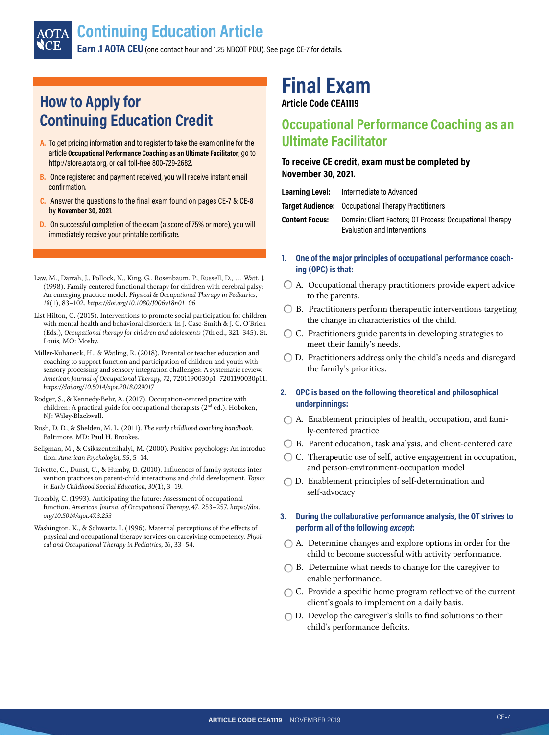# <span id="page-6-0"></span>**How to Apply for Continuing Education Credit**

- **A.** To get pricing information and to register to take the exam online for the article **Occupational Performance Coaching as an Ultimate Facilitator,** go to http://store.aota.org, or call toll-free 800-729-2682.
- **B.** Once registered and payment received, you will receive instant email confirmation.
- **C.** Answer the questions to the final exam found on pages CE-7 & CE-8 by **November 30, 2021**.
- **D.** On successful completion of the exam (a score of 75% or more), you will immediately receive your printable certificate.
- Law, M., Darrah, J., Pollock, N., King, G., Rosenbaum, P., Russell, D., … Watt, J. (1998). Family-centered functional therapy for children with cerebral palsy: An emerging practice model. *Physical & Occupational Therapy in Pediatrics, 18*(1), 83–102. *[https://doi.org/10.1080/J006v18n01\\_06](https://doi.org/10.1080/J006v18n01_06)*
- List Hilton, C. (2015). Interventions to promote social participation for children with mental health and behavioral disorders. In J. Case-Smith & J. C. O'Brien (Eds.), *Occupational therapy for children and adolescents* (7th ed., 321–345). St. Louis, MO: Mosby.
- Miller-Kuhaneck, H., & Watling, R. (2018). Parental or teacher education and coaching to support function and participation of children and youth with sensory processing and sensory integration challenges: A systematic review. *American Journal of Occupational Therapy, 72*, 7201190030p1–7201190030p11. *<https://doi.org/10.5014/ajot.2018.029017>*
- Rodger, S., & Kennedy-Behr, A. (2017). Occupation-centred practice with children: A practical guide for occupational therapists (2<sup>nd</sup> ed.). Hoboken, NJ: Wiley-Blackwell.
- Rush, D. D., & Shelden, M. L. (2011). *The early childhood coaching handbook*. Baltimore, MD: Paul H. Brookes.
- Seligman, M., & Csikszentmihalyi, M. (2000). Positive psychology: An introduction. *American Psychologist, 55*, 5–14.
- Trivette, C., Dunst, C., & Humby, D. (2010). Influences of family-systems intervention practices on parent-child interactions and child development. *Topics in Early Childhood Special Education, 30*(1), 3–19.
- Trombly, C. (1993). Anticipating the future: Assessment of occupational function. *American Journal of Occupational Therapy, 47*, 253–257. *[https://doi.](https://doi.org/10.5014/ajot.47.3.253) [org/10.5014/ajot.47.3.253](https://doi.org/10.5014/ajot.47.3.253)*
- Washington, K., & Schwartz, I. (1996). Maternal perceptions of the effects of physical and occupational therapy services on caregiving competency. *Physical and Occupational Therapy in Pediatrics, 16*, 33–54.

# **Final Exam**

**Article Code CEA1119**

# **Occupational Performance Coaching as an Ultimate Facilitator**

# **To receive CE credit, exam must be completed by November 30, 2021.**

| Learning Level:       | Intermediate to Advanced                                                                 |
|-----------------------|------------------------------------------------------------------------------------------|
|                       | <b>Target Audience:</b> Occupational Therapy Practitioners                               |
| <b>Content Focus:</b> | Domain: Client Factors; OT Process: Occupational Therapy<br>Evaluation and Interventions |

- **1. One of the major principles of occupational performance coaching (OPC) is that:**
- A. Occupational therapy practitioners provide expert advice to the parents.
- $\bigcirc$  B. Practitioners perform therapeutic interventions targeting the change in characteristics of the child.
- C. Practitioners guide parents in developing strategies to meet their family's needs.
- D. Practitioners address only the child's needs and disregard the family's priorities.

# **2. OPC is based on the following theoretical and philosophical underpinnings:**

- A. Enablement principles of health, occupation, and family-centered practice
- B. Parent education, task analysis, and client-centered care
- C. Therapeutic use of self, active engagement in occupation, and person-environment-occupation model
- D. Enablement principles of self-determination and self-advocacy

# **3. During the collaborative performance analysis, the OT strives to perform all of the following** *except***:**

- A. Determine changes and explore options in order for the child to become successful with activity performance.
- $\bigcirc$  B. Determine what needs to change for the caregiver to enable performance.
- $\bigcap C$ . Provide a specific home program reflective of the current client's goals to implement on a daily basis.
- $\bigcirc$  D. Develop the caregiver's skills to find solutions to their child's performance deficits.